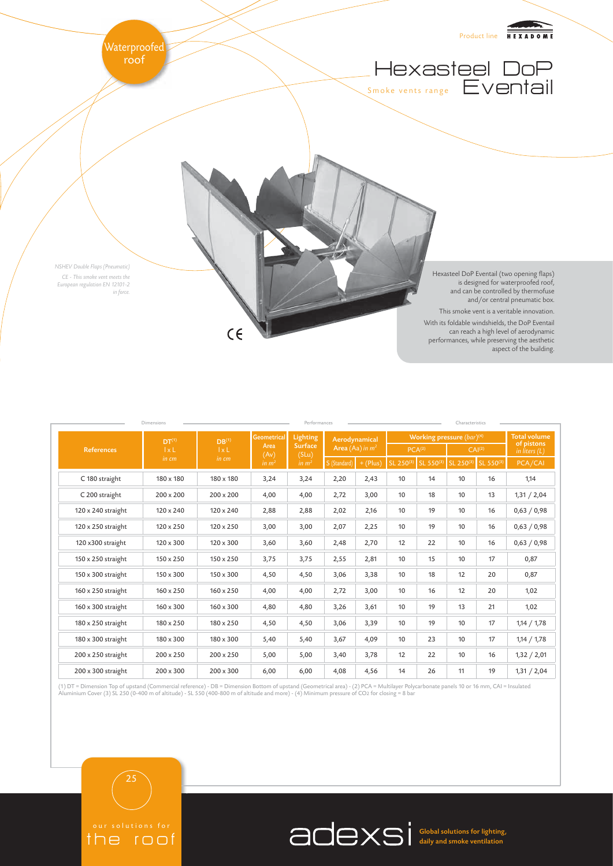

aspect of the building.

| <b>Dimensions</b>         |                                            |                                            |                                                         | Performances                                                    |                                    |            |                                | Characteristics |                    |           |                                   |  |
|---------------------------|--------------------------------------------|--------------------------------------------|---------------------------------------------------------|-----------------------------------------------------------------|------------------------------------|------------|--------------------------------|-----------------|--------------------|-----------|-----------------------------------|--|
| <b>References</b>         | DT <sup>(1)</sup><br>$l \times L$<br>in cm | DB <sup>(1)</sup><br>$l \times L$<br>in cm | <b>Geometrical</b><br>Area<br>(Av)<br>in m <sup>2</sup> | <b>Lighting</b><br><b>Surface</b><br>(SLu)<br>in m <sup>2</sup> | Aerodynamical<br>Area (Aa) in $m2$ |            | Working pressure $(bar)^{(4)}$ |                 |                    |           | <b>Total volume</b><br>of pistons |  |
|                           |                                            |                                            |                                                         |                                                                 |                                    |            | PCA <sup>(2)</sup>             |                 | CAI <sup>(2)</sup> |           | in liters $(L)$                   |  |
|                           |                                            |                                            |                                                         |                                                                 | S (Standard)                       | $+ (Plus)$ | SL 250(3)                      | SL 550(3)       | SL 250(3)          | SL 550(3) | PCA/CAI                           |  |
| C 180 straight            | 180 x 180                                  | 180 x 180                                  | 3,24                                                    | 3,24                                                            | 2,20                               | 2,43       | 10                             | 14              | 10                 | 16        | 1,14                              |  |
| C 200 straight            | 200 x 200                                  | $200 \times 200$                           | 4,00                                                    | 4,00                                                            | 2,72                               | 3,00       | 10                             | 18              | 10                 | 13        | 1,31 / 2,04                       |  |
| 120 x 240 straight        | $120 \times 240$                           | $120 \times 240$                           | 2,88                                                    | 2,88                                                            | 2,02                               | 2,16       | 10                             | 19              | 10                 | 16        | 0,63 / 0,98                       |  |
| 120 x 250 straight        | $120 \times 250$                           | $120 \times 250$                           | 3,00                                                    | 3,00                                                            | 2,07                               | 2,25       | 10                             | 19              | 10                 | 16        | 0,63 / 0,98                       |  |
| 120 x300 straight         | 120 x 300                                  | 120 x 300                                  | 3,60                                                    | 3,60                                                            | 2,48                               | 2,70       | 12                             | 22              | 10                 | 16        | 0,63 / 0,98                       |  |
| 150 x 250 straight        | $150 \times 250$                           | $150 \times 250$                           | 3.75                                                    | 3,75                                                            | 2,55                               | 2,81       | 10                             | 15              | 10                 | 17        | 0,87                              |  |
| 150 x 300 straight        | $150 \times 300$                           | $150 \times 300$                           | 4,50                                                    | 4,50                                                            | 3,06                               | 3,38       | 10                             | 18              | 12                 | 20        | 0,87                              |  |
| $160 \times 250$ straight | $160 \times 250$                           | 160 x 250                                  | 4,00                                                    | 4,00                                                            | 2,72                               | 3,00       | 10                             | 16              | 12                 | 20        | 1,02                              |  |
| 160 x 300 straight        | $160 \times 300$                           | $160 \times 300$                           | 4,80                                                    | 4,80                                                            | 3,26                               | 3,61       | 10                             | 19              | 13                 | 21        | 1,02                              |  |
| 180 x 250 straight        | 180 x 250                                  | 180 x 250                                  | 4,50                                                    | 4,50                                                            | 3,06                               | 3,39       | 10                             | 19              | 10                 | 17        | 1,14 / 1,78                       |  |
| 180 x 300 straight        | 180 x 300                                  | 180 x 300                                  | 5,40                                                    | 5,40                                                            | 3,67                               | 4,09       | 10                             | 23              | 10                 | 17        | 1,14 / 1,78                       |  |
| 200 x 250 straight        | $200 \times 250$                           | $200 \times 250$                           | 5,00                                                    | 5,00                                                            | 3,40                               | 3,78       | 12                             | 22              | 10                 | 16        | 1,32 / 2,01                       |  |
| 200 x 300 straight        | $200 \times 300$                           | $200 \times 300$                           | 6,00                                                    | 6,00                                                            | 4,08                               | 4,56       | 14                             | 26              | 11                 | 19        | 1,31 / 2,04                       |  |

(1) DT = Dimension Top of upstand (Commercial reference) - DB = Dimension Bottom of upstand (Geometrical area) - (2) PCA = Multilayer Polycarbonate panels 10 or 16 mm, CAI = Insulated<br>Aluminium Cover (3) SL 250 (0-400 m of

the roof

25



Global solutions for lighting, daily and smoke ventilation